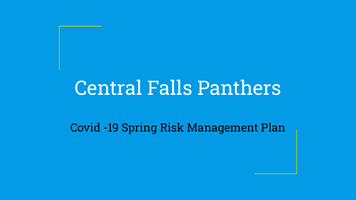# Central Falls Panthers

Covid -19 Spring Risk Management Plan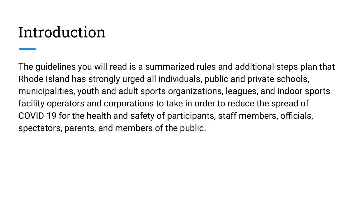## Introduction

The guidelines you will read is a summarized rules and additional steps plan that Rhode Island has strongly urged all individuals, public and private schools, municipalities, youth and adult sports organizations, leagues, and indoor sports facility operators and corporations to take in order to reduce the spread of COVID-19 for the health and safety of participants, staff members, officials, spectators, parents, and members of the public.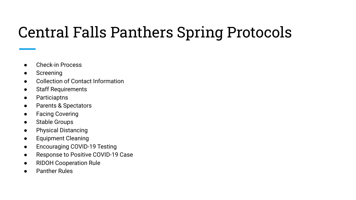## Central Falls Panthers Spring Protocols

- Check-in Process
- Screening
- Collection of Contact Information
- Staff Requirements
- Particiaptns
- Parents & Spectators
- Facing Covering
- Stable Groups
- Physical Distancing
- Equipment Cleaning
- Encouraging COVID-19 Testing
- Response to Positive COVID-19 Case
- RIDOH Cooperation Rule
- **Panther Rules**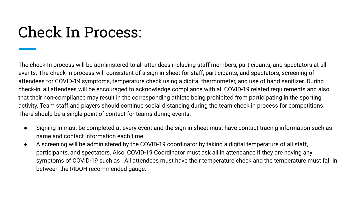### Check In Process:

The check-In process will be administered to all attendees including staff members, participants, and spectators at all events. The check-in process will consistent of a sign-in sheet for staff, participants, and spectators, screening of attendees for COVID-19 symptoms, temperature check using a digital thermometer, and use of hand sanitizer. During check-in, all attendees will be encouraged to acknowledge compliance with all COVID-19 related requirements and also that their non-compliance may result in the corresponding athlete being prohibited from participating in the sporting activity. Team staff and players should continue social distancing during the team check in process for competitions. There should be a single point of contact for teams during events.

- Signing-in must be completed at every event and the sign-in sheet must have contact tracing information such as name and contact information each time.
- A screening will be administered by the COVID-19 coordinator by taking a digital temperature of all staff, participants, and spectators. Also, COVID-19 Coordinator must ask all in attendance if they are having any symptoms of COVID-19 such as . All attendees must have their temperature check and the temperature must fall in between the RIDOH recommended gauge.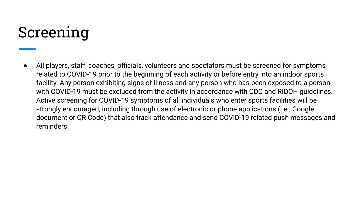#### Screening

All players, staff, coaches, officials, volunteers and spectators must be screened for symptoms related to COVID-19 prior to the beginning of each activity or before entry into an indoor sports facility. Any person exhibiting signs of illness and any person who has been exposed to a person with COVID-19 must be excluded from the activity in accordance with CDC and RIDOH guidelines. Active screening for COVID-19 symptoms of all individuals who enter sports facilities will be strongly encouraged, including through use of electronic or phone applications (i.e., Google document or QR Code) that also track attendance and send COVID-19 related push messages and reminders.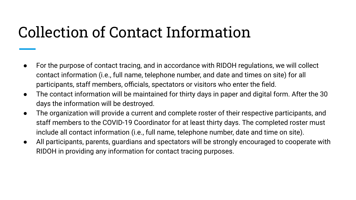### Collection of Contact Information

- For the purpose of contact tracing, and in accordance with RIDOH regulations, we will collect contact information (i.e., full name, telephone number, and date and times on site) for all participants, staff members, officials, spectators or visitors who enter the field.
- The contact information will be maintained for thirty days in paper and digital form. After the 30 days the information will be destroyed.
- The organization will provide a current and complete roster of their respective participants, and staff members to the COVID-19 Coordinator for at least thirty days. The completed roster must include all contact information (i.e., full name, telephone number, date and time on site).
- All participants, parents, guardians and spectators will be strongly encouraged to cooperate with RIDOH in providing any information for contact tracing purposes.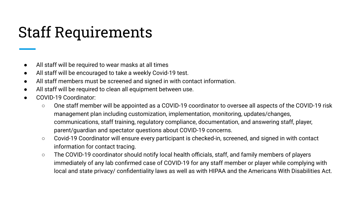## Staff Requirements

- All staff will be required to wear masks at all times
- All staff will be encouraged to take a weekly Covid-19 test.
- All staff members must be screened and signed in with contact information.
- All staff will be required to clean all equipment between use.
- COVID-19 Coordinator:
	- One staff member will be appointed as a COVID-19 coordinator to oversee all aspects of the COVID-19 risk management plan including customization, implementation, monitoring, updates/changes, communications, staff training, regulatory compliance, documentation, and answering staff, player, parent/guardian and spectator questions about COVID-19 concerns.
	- Covid-19 Coordinator will ensure every participant is checked-in, screened, and signed in with contact information for contact tracing.
	- The COVID-19 coordinator should notify local health officials, staff, and family members of players immediately of any lab confirmed case of COVID-19 for any staff member or player while complying with local and state privacy/ confidentiality laws as well as with HIPAA and the Americans With Disabilities Act.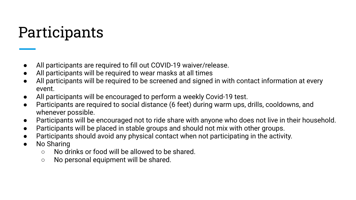## Participants

- All participants are required to fill out COVID-19 waiver/release.
- All participants will be required to wear masks at all times
- All participants will be required to be screened and signed in with contact information at every event.
- All participants will be encouraged to perform a weekly Covid-19 test.
- Participants are required to social distance (6 feet) during warm ups, drills, cooldowns, and whenever possible.
- Participants will be encouraged not to ride share with anyone who does not live in their household.
- Participants will be placed in stable groups and should not mix with other groups.
- Participants should avoid any physical contact when not participating in the activity.
- No Sharing
	- No drinks or food will be allowed to be shared.
	- No personal equipment will be shared.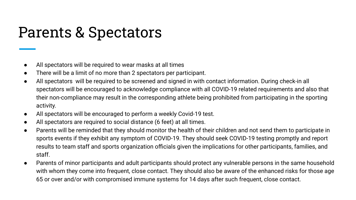#### Parents & Spectators

- All spectators will be required to wear masks at all times
- There will be a limit of no more than 2 spectators per participant.
- All spectators will be required to be screened and signed in with contact information. During check-in all spectators will be encouraged to acknowledge compliance with all COVID-19 related requirements and also that their non-compliance may result in the corresponding athlete being prohibited from participating in the sporting activity.
- All spectators will be encouraged to perform a weekly Covid-19 test.
- All spectators are required to social distance (6 feet) at all times.
- Parents will be reminded that they should monitor the health of their children and not send them to participate in sports events if they exhibit any symptom of COVID-19. They should seek COVID-19 testing promptly and report results to team staff and sports organization officials given the implications for other participants, families, and staff.
- Parents of minor participants and adult participants should protect any vulnerable persons in the same household with whom they come into frequent, close contact. They should also be aware of the enhanced risks for those age 65 or over and/or with compromised immune systems for 14 days after such frequent, close contact.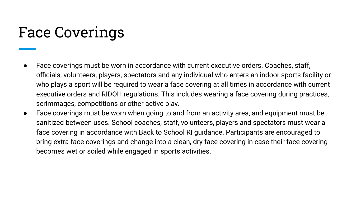#### Face Coverings

- Face coverings must be worn in accordance with current executive orders. Coaches, staff, officials, volunteers, players, spectators and any individual who enters an indoor sports facility or who plays a sport will be required to wear a face covering at all times in accordance with current executive orders and RIDOH regulations. This includes wearing a face covering during practices, scrimmages, competitions or other active play.
- Face coverings must be worn when going to and from an activity area, and equipment must be sanitized between uses. School coaches, staff, volunteers, players and spectators must wear a face covering in accordance with Back to School RI guidance. Participants are encouraged to bring extra face coverings and change into a clean, dry face covering in case their face covering becomes wet or soiled while engaged in sports activities.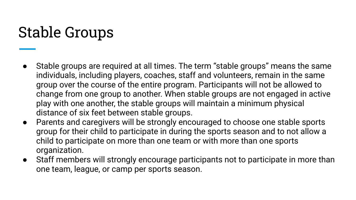## Stable Groups

- Stable groups are required at all times. The term "stable groups" means the same individuals, including players, coaches, staff and volunteers, remain in the same group over the course of the entire program. Participants will not be allowed to change from one group to another. When stable groups are not engaged in active play with one another, the stable groups will maintain a minimum physical distance of six feet between stable groups.
- Parents and caregivers will be strongly encouraged to choose one stable sports group for their child to participate in during the sports season and to not allow a child to participate on more than one team or with more than one sports organization.
- Staff members will strongly encourage participants not to participate in more than one team, league, or camp per sports season.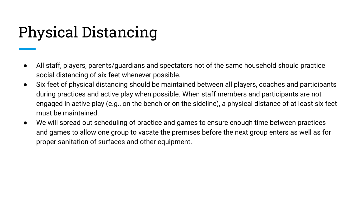## Physical Distancing

- All staff, players, parents/guardians and spectators not of the same household should practice social distancing of six feet whenever possible.
- Six feet of physical distancing should be maintained between all players, coaches and participants during practices and active play when possible. When staff members and participants are not engaged in active play (e.g., on the bench or on the sideline), a physical distance of at least six feet must be maintained.
- We will spread out scheduling of practice and games to ensure enough time between practices and games to allow one group to vacate the premises before the next group enters as well as for proper sanitation of surfaces and other equipment.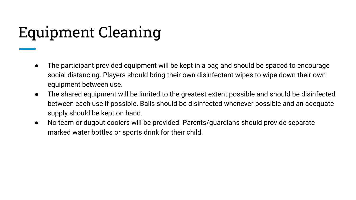## Equipment Cleaning

- The participant provided equipment will be kept in a bag and should be spaced to encourage social distancing. Players should bring their own disinfectant wipes to wipe down their own equipment between use.
- The shared equipment will be limited to the greatest extent possible and should be disinfected between each use if possible. Balls should be disinfected whenever possible and an adequate supply should be kept on hand.
- No team or dugout coolers will be provided. Parents/guardians should provide separate marked water bottles or sports drink for their child.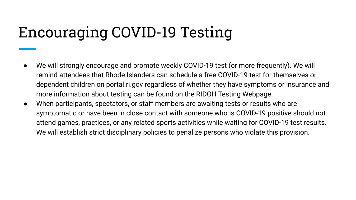## Encouraging COVID-19 Testing

- We will strongly encourage and promote weekly COVID-19 test (or more frequently). We will remind attendees that Rhode Islanders can schedule a free COVID-19 test for themselves or dependent children on portal.ri.gov regardless of whether they have symptoms or insurance and more information about testing can be found on the RIDOH Testing Webpage.
- When participants, spectators, or staff members are awaiting tests or results who are symptomatic or have been in close contact with someone who is COVID-19 positive should not attend games, practices, or any related sports activities while waiting for COVID-19 test results. We will establish strict disciplinary policies to penalize persons who violate this provision.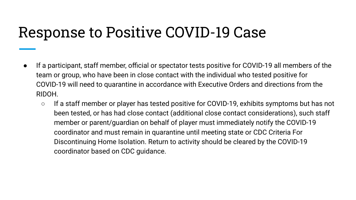#### Response to Positive COVID-19 Case

- If a participant, staff member, official or spectator tests positive for COVID-19 all members of the team or group, who have been in close contact with the individual who tested positive for COVID-19 will need to quarantine in accordance with Executive Orders and directions from the RIDOH.
	- If a staff member or player has tested positive for COVID-19, exhibits symptoms but has not been tested, or has had [close contact](https://www.cdc.gov/coronavirus/2019-ncov/php/public-health-recommendations.html) [\(additional close contact considerations\)](https://www.cdc.gov/coronavirus/2019-ncov/php/contact-tracing/contact-tracing-plan/appendix.html), such staff member or parent/guardian on behalf of player must immediately notify the COVID-19 coordinator and must remain in quarantine until meeting state or [CDC Criteria For](https://www.cdc.gov/coronavirus/2019-ncov/if-you-are-sick/end-home-isolation.html?CDC_AA_refVal=https%253A%252F%252Fwww.cdc.gov%252Fcoronavirus%252F2019-ncov%252Fprevent-getting-sick%252Fwhen-its-safe.html)  [Discontinuing Home Isolation.](https://www.cdc.gov/coronavirus/2019-ncov/if-you-are-sick/end-home-isolation.html?CDC_AA_refVal=https%253A%252F%252Fwww.cdc.gov%252Fcoronavirus%252F2019-ncov%252Fprevent-getting-sick%252Fwhen-its-safe.html) Return to activity should be cleared by the COVID-19 coordinator based on CDC guidance.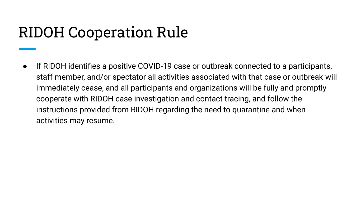#### RIDOH Cooperation Rule

● If RIDOH identifies a positive COVID-19 case or outbreak connected to a participants, staff member, and/or spectator all activities associated with that case or outbreak will immediately cease, and all participants and organizations will be fully and promptly cooperate with RIDOH case investigation and contact tracing, and follow the instructions provided from RIDOH regarding the need to quarantine and when activities may resume.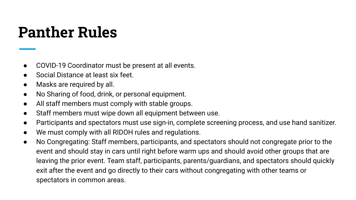### **Panther Rules**

- COVID-19 Coordinator must be present at all events.
- Social Distance at least six feet.
- Masks are required by all.
- No Sharing of food, drink, or personal equipment.
- All staff members must comply with stable groups.
- Staff members must wipe down all equipment between use.
- Participants and spectators must use sign-in, complete screening process, and use hand sanitizer.
- We must comply with all RIDOH rules and regulations.
- No Congregating: Staff members, participants, and spectators should not congregate prior to the event and should stay in cars until right before warm ups and should avoid other groups that are leaving the prior event. Team staff, participants, parents/guardians, and spectators should quickly exit after the event and go directly to their cars without congregating with other teams or spectators in common areas.